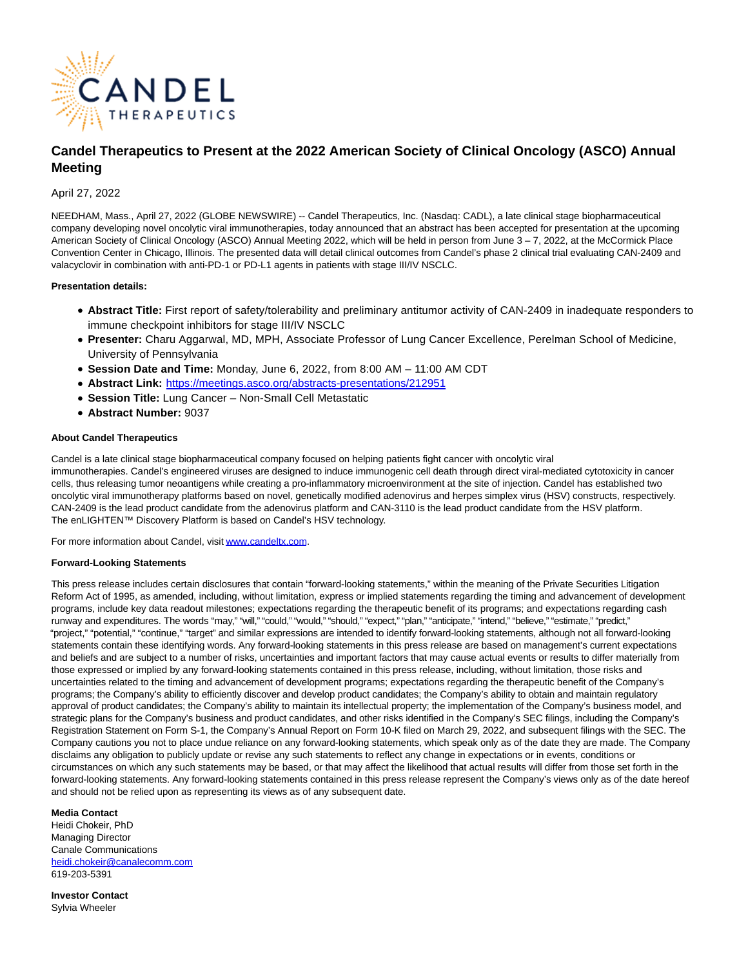

# **Candel Therapeutics to Present at the 2022 American Society of Clinical Oncology (ASCO) Annual Meeting**

## April 27, 2022

NEEDHAM, Mass., April 27, 2022 (GLOBE NEWSWIRE) -- Candel Therapeutics, Inc. (Nasdaq: CADL), a late clinical stage biopharmaceutical company developing novel oncolytic viral immunotherapies, today announced that an abstract has been accepted for presentation at the upcoming American Society of Clinical Oncology (ASCO) Annual Meeting 2022, which will be held in person from June 3 – 7, 2022, at the McCormick Place Convention Center in Chicago, Illinois. The presented data will detail clinical outcomes from Candel's phase 2 clinical trial evaluating CAN-2409 and valacyclovir in combination with anti-PD-1 or PD-L1 agents in patients with stage III/IV NSCLC.

## **Presentation details:**

- **Abstract Title:** First report of safety/tolerability and preliminary antitumor activity of CAN-2409 in inadequate responders to immune checkpoint inhibitors for stage III/IV NSCLC
- **Presenter:** Charu Aggarwal, MD, MPH, Associate Professor of Lung Cancer Excellence, Perelman School of Medicine, University of Pennsylvania
- **Session Date and Time:** Monday, June 6, 2022, from 8:00 AM 11:00 AM CDT
- **Abstract Link:** <https://meetings.asco.org/abstracts-presentations/212951>
- **Session Title:** Lung Cancer Non-Small Cell Metastatic
- **Abstract Number:** 9037

## **About Candel Therapeutics**

Candel is a late clinical stage biopharmaceutical company focused on helping patients fight cancer with oncolytic viral immunotherapies. Candel's engineered viruses are designed to induce immunogenic cell death through direct viral-mediated cytotoxicity in cancer cells, thus releasing tumor neoantigens while creating a pro-inflammatory microenvironment at the site of injection. Candel has established two oncolytic viral immunotherapy platforms based on novel, genetically modified adenovirus and herpes simplex virus (HSV) constructs, respectively. CAN-2409 is the lead product candidate from the adenovirus platform and CAN-3110 is the lead product candidate from the HSV platform. The enLIGHTEN™ Discovery Platform is based on Candel's HSV technology.

For more information about Candel, visi[t www.candeltx.com.](https://www.globenewswire.com/Tracker?data=51wIlsHhrsCRvT6um_t43Ks6dSrhGPtvLOWe19lvCWIbeVkYuw2I91vZJBJYgZ29XOzo_97OI_f5lYp0L17IJg==)

#### **Forward-Looking Statements**

This press release includes certain disclosures that contain "forward-looking statements," within the meaning of the Private Securities Litigation Reform Act of 1995, as amended, including, without limitation, express or implied statements regarding the timing and advancement of development programs, include key data readout milestones; expectations regarding the therapeutic benefit of its programs; and expectations regarding cash runway and expenditures. The words "may," "will," "could," "would," "should," "expect," "plan," "anticipate," "intend," "believe," "estimate," "predict," "project," "potential," "continue," "target" and similar expressions are intended to identify forward-looking statements, although not all forward-looking statements contain these identifying words. Any forward-looking statements in this press release are based on management's current expectations and beliefs and are subject to a number of risks, uncertainties and important factors that may cause actual events or results to differ materially from those expressed or implied by any forward-looking statements contained in this press release, including, without limitation, those risks and uncertainties related to the timing and advancement of development programs; expectations regarding the therapeutic benefit of the Company's programs; the Company's ability to efficiently discover and develop product candidates; the Company's ability to obtain and maintain regulatory approval of product candidates; the Company's ability to maintain its intellectual property; the implementation of the Company's business model, and strategic plans for the Company's business and product candidates, and other risks identified in the Company's SEC filings, including the Company's Registration Statement on Form S-1, the Company's Annual Report on Form 10-K filed on March 29, 2022, and subsequent filings with the SEC. The Company cautions you not to place undue reliance on any forward-looking statements, which speak only as of the date they are made. The Company disclaims any obligation to publicly update or revise any such statements to reflect any change in expectations or in events, conditions or circumstances on which any such statements may be based, or that may affect the likelihood that actual results will differ from those set forth in the forward-looking statements. Any forward-looking statements contained in this press release represent the Company's views only as of the date hereof and should not be relied upon as representing its views as of any subsequent date.

#### **Media Contact**

Heidi Chokeir, PhD Managing Director Canale Communications [heidi.chokeir@canalecomm.com](https://www.globenewswire.com/Tracker?data=yV60_jpon-f-VtjEvJNBYJk0EqXV4zeVGIL7qOk4QOFQARTy0H3RMNSRvWhW84aMpxqF5BjCtL_0CONy-2pCUZkduvaTUODGlAYCMQOnEB6ouVKa3ew28qg_VGPulnAA) 619-203-5391

**Investor Contact** Sylvia Wheeler